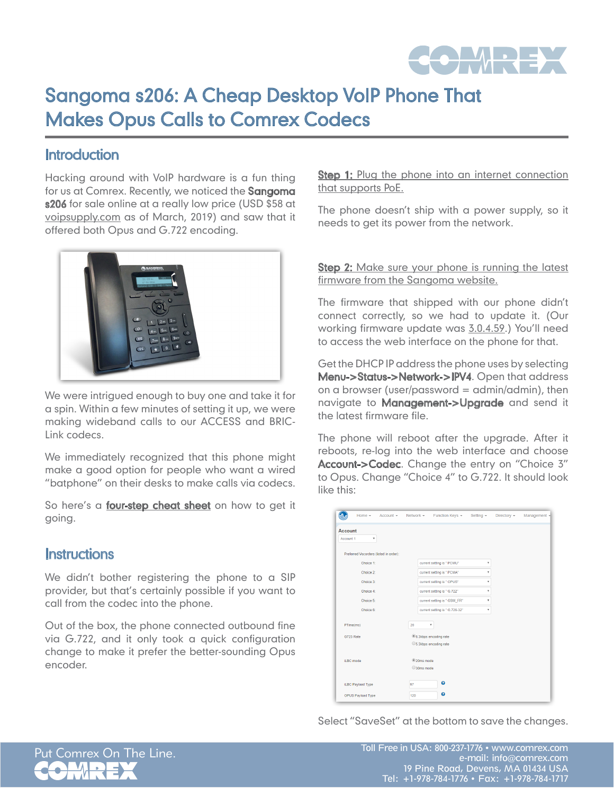

## Sangoma s206: A Cheap Desktop VoIP Phone That Makes Opus Calls to Comrex Codecs

## **Introduction**

Hacking around with VoIP hardware is a fun thing for us at Comrex. Recently, we noticed the Sangoma s206 for sale online at a really low price (USD \$58 at voipsupply.com as of March, 2019) and saw that it offered both Opus and G.722 encoding.



We were intrigued enough to buy one and take it for a spin. Within a few minutes of setting it up, we were making wideband calls to our ACCESS and BRIC-Link codecs.

We immediately recognized that this phone might make a good option for people who want a wired "batphone" on their desks to make calls via codecs.

So here's a *four-step cheat sheet* on how to get it going.

## Instructions

We didn't bother registering the phone to a SIP provider, but that's certainly possible if you want to call from the codec into the phone.

Out of the box, the phone connected outbound fine via G.722, and it only took a quick configuration change to make it prefer the better-sounding Opus encoder.

**Step 1:** Plug the phone into an internet connection that supports PoE.

The phone doesn't ship with a power supply, so it needs to get its power from the network.

**Step 2:** Make sure your phone is running the latest firmware from the Sangoma website.

The firmware that shipped with our phone didn't connect correctly, so we had to update it. (Our working firmware update was 3.0.4.59.) You'll need to access the web interface on the phone for that.

Get the DHCP IP address the phone uses by selecting Menu->Status->Network->IPV4. Open that address on a browser (user/password =  $\alpha$ dmin/admin), then navigate to **Management->Upgrade** and send it the latest firmware file.

The phone will reboot after the upgrade. After it reboots, re-log into the web interface and choose Account->Codec. Change the entry on "Choice 3" to Opus. Change "Choice 4" to G.722. It should look like this:

|           | Home $\sim$                            | $Account - Network -$ | Function Keys +                    | Setting $\sim$ | Directory - | Management - |
|-----------|----------------------------------------|-----------------------|------------------------------------|----------------|-------------|--------------|
| Account   |                                        |                       |                                    |                |             |              |
| Account 1 | ۳                                      |                       |                                    |                |             |              |
|           | Preferred Vocorders (listed in order): |                       |                                    |                |             |              |
|           | Choice 1:                              |                       | current setting is " PCMU"         | ۰              |             |              |
|           | Choice 2:                              |                       | current setting is " PCMA"         |                |             |              |
|           | Choice 3:                              |                       | current setting is " OPUS"         | ۷              |             |              |
|           | Choice 4:                              |                       | current setting is " G.722"        | ۷              |             |              |
|           | Choice 5:                              |                       | current setting is " GSM_FR"       | ۰              |             |              |
|           | Choice 6:                              |                       | current setting is " G.726-32"     | v              |             |              |
|           | PTime(ms)                              | 20                    | $\overline{\mathbf{v}}$            |                |             |              |
|           | G723 Rate                              |                       | <sup>®</sup> 6.3kbps encoding rate |                |             |              |
|           |                                        |                       | 6.3kbps encoding rate              |                |             |              |
|           | <b>ILBC</b> mode                       | 20ms mode             |                                    |                |             |              |
|           |                                        | 30ms mode             |                                    |                |             |              |
|           | iLBC Payload Type                      | 97                    | ℯ                                  |                |             |              |
|           | OPUS Payload Type                      | 120                   | ๋                                  |                |             |              |

Select "SaveSet" at the bottom to save the changes.



Put Comrex On The Line. Toll Free in USA: 800-237-1776 • www.comrex.com e-mail: info@comrex.com 19 Pine Road, Devens, MA 01434 USA Tel: +1-978-784-1776 • Fax: +1-978-784-1717